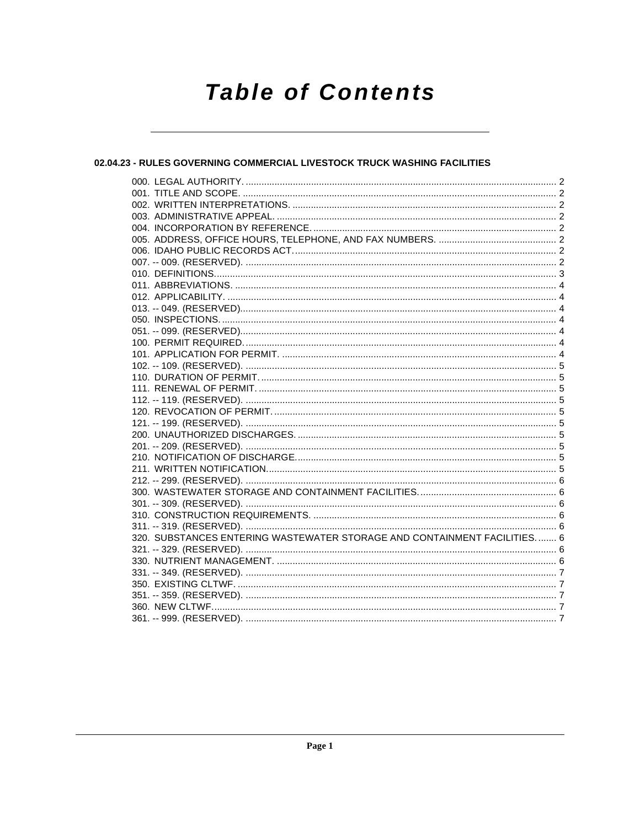# **Table of Contents**

# 02.04.23 - RULES GOVERNING COMMERCIAL LIVESTOCK TRUCK WASHING FACILITIES

| 320. SUBSTANCES ENTERING WASTEWATER STORAGE AND CONTAINMENT FACILITIES 6 |  |
|--------------------------------------------------------------------------|--|
|                                                                          |  |
|                                                                          |  |
|                                                                          |  |
|                                                                          |  |
|                                                                          |  |
|                                                                          |  |
|                                                                          |  |
|                                                                          |  |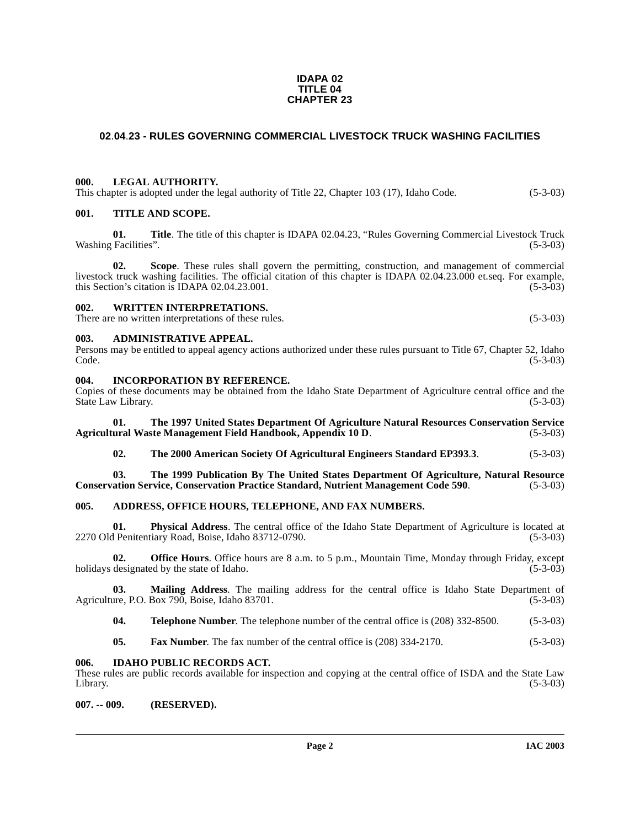#### **IDAPA 02 TITLE 04 CHAPTER 23**

# <span id="page-1-0"></span>**02**.**04**.**23 - RULES GOVERNING COMMERCIAL LIVESTOCK TRUCK WASHING FACILITIES**

#### <span id="page-1-1"></span>**000. LEGAL AUTHORITY.**

This chapter is adopted under the legal authority of Title 22, Chapter 103 (17), Idaho Code. (5-3-03)

#### <span id="page-1-2"></span>**001. TITLE AND SCOPE.**

**01. Title**. The title of this chapter is IDAPA 02.04.23, "Rules Governing Commercial Livestock Truck Washing Facilities". (5-3-03)

**02. Scope**. These rules shall govern the permitting, construction, and management of commercial livestock truck washing facilities. The official citation of this chapter is IDAPA 02.04.23.000 et.seq. For example, this Section's citation is IDAPA 02.04.23.001. this Section's citation is IDAPA  $02.04.23.001$ .

# <span id="page-1-3"></span>**002. WRITTEN INTERPRETATIONS.**

There are no written interpretations of these rules. (5-3-03)

#### <span id="page-1-4"></span>**003. ADMINISTRATIVE APPEAL.**

Persons may be entitled to appeal agency actions authorized under these rules pursuant to Title 67, Chapter 52, Idaho  $\text{Code.}$  (5-3-03)

#### <span id="page-1-9"></span><span id="page-1-5"></span>**004. INCORPORATION BY REFERENCE.**

Copies of these documents may be obtained from the Idaho State Department of Agriculture central office and the State Law Library. (5-3-03)

**01. The 1997 United States Department Of Agriculture Natural Resources Conservation Service Agricultural Waste Management Field Handbook, Appendix 10 D**. (5-3-03)

#### **02. The 2000 American Society Of Agricultural Engineers Standard EP393**.**3**. (5-3-03)

**03. The 1999 Publication By The United States Department Of Agriculture, Natural Resource Conservation Service, Conservation Practice Standard, Nutrient Management Code 590**. (5-3-03)

#### <span id="page-1-6"></span>**005. ADDRESS, OFFICE HOURS, TELEPHONE, AND FAX NUMBERS.**

**01. Physical Address**. The central office of the Idaho State Department of Agriculture is located at 2270 Old Penitentiary Road, Boise, Idaho 83712-0790. (5-3-03)

**02. Office Hours**. Office hours are 8 a.m. to 5 p.m., Mountain Time, Monday through Friday, except designated by the state of Idaho. (5-3-03) holidays designated by the state of Idaho.

**03. Mailing Address**. The mailing address for the central office is Idaho State Department of Agriculture, P.O. Box 790, Boise, Idaho 83701. (5-3-03)

**04. Telephone Number**. The telephone number of the central office is (208) 332-8500. (5-3-03)

**05. Fax Number**. The fax number of the central office is (208) 334-2170. (5-3-03)

#### <span id="page-1-7"></span>**006. IDAHO PUBLIC RECORDS ACT.**

These rules are public records available for inspection and copying at the central office of ISDA and the State Law Library. (5-3-03)

<span id="page-1-8"></span>**007. -- 009. (RESERVED).**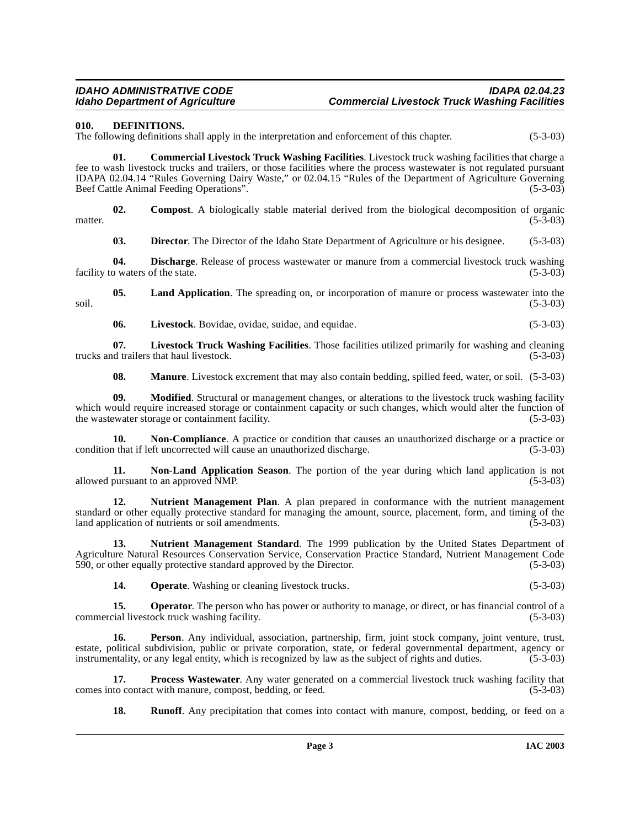#### <span id="page-2-3"></span><span id="page-2-0"></span>**010. DEFINITIONS.**

The following definitions shall apply in the interpretation and enforcement of this chapter. (5-3-03)

<span id="page-2-1"></span>**01. Commercial Livestock Truck Washing Facilities**. Livestock truck washing facilities that charge a fee to wash livestock trucks and trailers, or those facilities where the process wastewater is not regulated pursuant IDAPA 02.04.14 "Rules Governing Dairy Waste," or 02.04.15 "Rules of the Department of Agriculture Governing Beef Cattle Animal Feeding Operations".

**02. Compost**. A biologically stable material derived from the biological decomposition of organic matter.  $(5-3-03)$ 

<span id="page-2-5"></span><span id="page-2-4"></span><span id="page-2-2"></span>**03. Director**. The Director of the Idaho State Department of Agriculture or his designee. (5-3-03)

**04. Discharge**. Release of process wastewater or manure from a commercial livestock truck washing facility to waters of the state. (5-3-03)

**05.** Land Application. The spreading on, or incorporation of manure or process wastewater into the (5-3-03)  $\frac{1}{5-3-03}$  (5-3-03)

<span id="page-2-7"></span><span id="page-2-6"></span>**06. Livestock**. Bovidae, ovidae, suidae, and equidae. (5-3-03)

**07.** Livestock Truck Washing Facilities. Those facilities utilized primarily for washing and cleaning and trailers that haul livestock. (5-3-03) trucks and trailers that haul livestock.

<span id="page-2-10"></span><span id="page-2-9"></span><span id="page-2-8"></span>**08.** Manure. Livestock excrement that may also contain bedding, spilled feed, water, or soil. (5-3-03)

**09. Modified**. Structural or management changes, or alterations to the livestock truck washing facility which would require increased storage or containment capacity or such changes, which would alter the function of the wastewater storage or containment facility. (5-3-03) the wastewater storage or containment facility.

**10. Non-Compliance**. A practice or condition that causes an unauthorized discharge or a practice or condition that if left uncorrected will cause an unauthorized discharge. (5-3-03)

<span id="page-2-11"></span>**11. Non-Land Application Season**. The portion of the year during which land application is not pursuant to an approved NMP. (5-3-03) allowed pursuant to an approved NMP.

<span id="page-2-12"></span>**12. Nutrient Management Plan**. A plan prepared in conformance with the nutrient management standard or other equally protective standard for managing the amount, source, placement, form, and timing of the land application of nutrients or soil amendments. (5-3-03)

**13. Nutrient Management Standard**. The 1999 publication by the United States Department of Agriculture Natural Resources Conservation Service, Conservation Practice Standard, Nutrient Management Code 590, or other equally protective standard approved by the Director. (5-3-03)

<span id="page-2-13"></span>**14. Operate**. Washing or cleaning livestock trucks. (5-3-03)

**15. Operator**. The person who has power or authority to manage, or direct, or has financial control of a commercial livestock truck washing facility. (5-3-03)

**16. Person**. Any individual, association, partnership, firm, joint stock company, joint venture, trust, estate, political subdivision, public or private corporation, state, or federal governmental department, agency or instrumentality, or any legal entity, which is recognized by law as the subject of rights and duties. (5-3-03)

**17. Process Wastewater**. Any water generated on a commercial livestock truck washing facility that to contact with manure, compost, bedding, or feed. (5-3-03) comes into contact with manure, compost, bedding, or feed.

**18.** Runoff. Any precipitation that comes into contact with manure, compost, bedding, or feed on a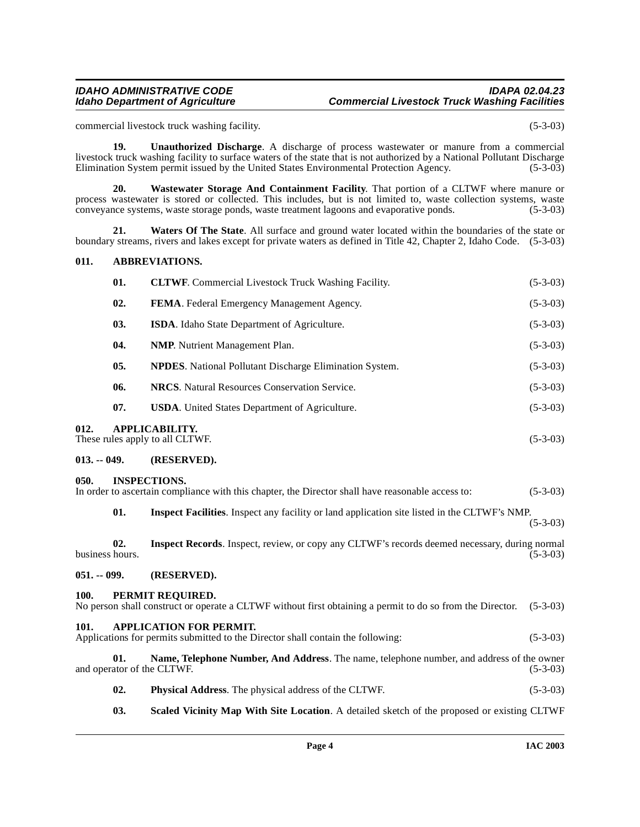# **IDAHO ADMINISTRATIVE CODE IDAPA 02.04.23 Commercial Livestock Truck Washing Facilities**

commercial livestock truck washing facility. (5-3-03)

**19. Unauthorized Discharge**. A discharge of process wastewater or manure from a commercial livestock truck washing facility to surface waters of the state that is not authorized by a National Pollutant Discharge Elimination System permit issued by the United States Environmental Protection Agency. (5-3-03)

<span id="page-3-11"></span>**20. Wastewater Storage And Containment Facility**. That portion of a CLTWF where manure or process wastewater is stored or collected. This includes, but is not limited to, waste collection systems, waste conveyance systems, waste storage ponds, waste treatment lagoons and evaporative ponds. (5-3-03)

**21. Waters Of The State**. All surface and ground water located within the boundaries of the state or boundary streams, rivers and lakes except for private waters as defined in Title 42, Chapter 2, Idaho Code. (5-3-03)

#### <span id="page-3-7"></span><span id="page-3-0"></span>**011. ABBREVIATIONS.**

|      | 01.            | <b>CLTWF.</b> Commercial Livestock Truck Washing Facility.     | $(5-3-03)$ |
|------|----------------|----------------------------------------------------------------|------------|
|      | 02.            | <b>FEMA.</b> Federal Emergency Management Agency.              | $(5-3-03)$ |
|      | 03.            | ISDA. Idaho State Department of Agriculture.                   | $(5-3-03)$ |
|      | 04.            | <b>NMP.</b> Nutrient Management Plan.                          | $(5-3-03)$ |
|      | 0 <sub>5</sub> | <b>NPDES.</b> National Pollutant Discharge Elimination System. | $(5-3-03)$ |
|      | 06.            | <b>NRCS.</b> Natural Resources Conservation Service.           | $(5-3-03)$ |
|      | 07.            | <b>USDA.</b> United States Department of Agriculture.          | $(5-3-03)$ |
| 012. |                | APPLICABILITY.<br>These rules apply to all CLTWF.              | $(5-3-03)$ |

#### <span id="page-3-2"></span><span id="page-3-1"></span>**013. -- 049. (RESERVED).**

#### <span id="page-3-3"></span>**050. INSPECTIONS.**

| $\mathbf{v}\mathbf{v}\mathbf{v}$ |                                                                                                   |            |
|----------------------------------|---------------------------------------------------------------------------------------------------|------------|
|                                  | In order to ascertain compliance with this chapter, the Director shall have reasonable access to: | $(5-3-03)$ |
|                                  |                                                                                                   |            |

**01. Inspect Facilities**. Inspect any facility or land application site listed in the CLTWF's NMP. (5-3-03)

**02.** Inspect Records. Inspect, review, or copy any CLTWF's records deemed necessary, during normal hours. (5-3-03) business hours.

#### <span id="page-3-4"></span>**051. -- 099. (RESERVED).**

#### <span id="page-3-9"></span><span id="page-3-5"></span>**100. PERMIT REQUIRED.**

<span id="page-3-8"></span><span id="page-3-6"></span>

|                                   | No person shall construct or operate a CLTWF without first obtaining a permit to do so from the Director.         | $(5-3-03)$ |
|-----------------------------------|-------------------------------------------------------------------------------------------------------------------|------------|
| 101.                              | <b>APPLICATION FOR PERMIT.</b><br>Applications for permits submitted to the Director shall contain the following: | $(5-3-03)$ |
| 01.<br>and operator of the CLTWF. | Name, Telephone Number, And Address. The name, telephone number, and address of the owner                         | $(5-3-03)$ |
| 02.                               | <b>Physical Address.</b> The physical address of the CLTWF.                                                       | $(5-3-03)$ |

<span id="page-3-10"></span>**03. Scaled Vicinity Map With Site Location**. A detailed sketch of the proposed or existing CLTWF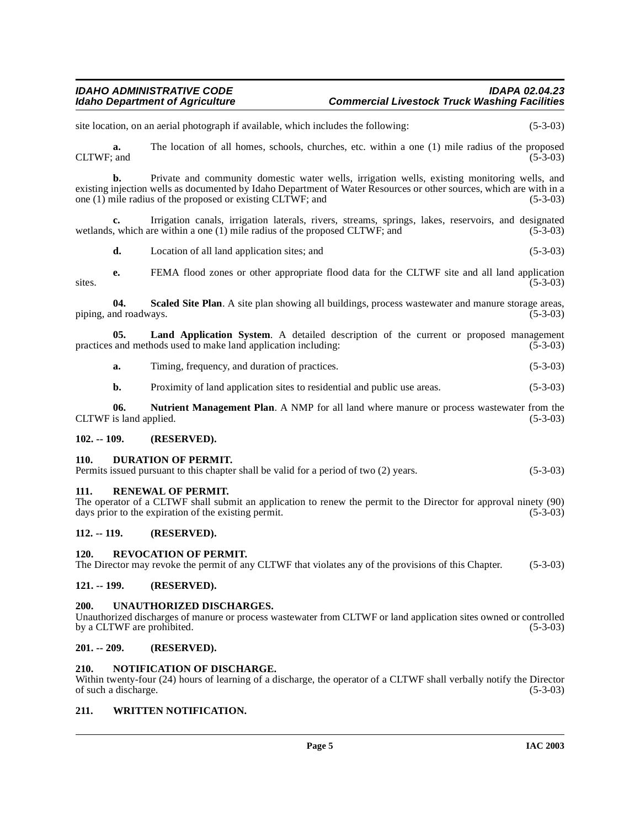# **IDAHO ADMINISTRATIVE CODE IDAPA 02.04.23 Commercial Livestock Truck Washing Facilities**

site location, on an aerial photograph if available, which includes the following: (5-3-03) **a.** The location of all homes, schools, churches, etc. within a one (1) mile radius of the proposed CLTWF: and (5-3-03) CLTWF; and  $(5-3-03)$ **b.** Private and community domestic water wells, irrigation wells, existing monitoring wells, and existing injection wells as documented by Idaho Department of Water Resources or other sources, which are with in a one (1) mile radius of the proposed or existing CLTWF; and (5-3-03) one  $(1)$  mile radius of the proposed or existing CLTWF; and **c.** Irrigation canals, irrigation laterals, rivers, streams, springs, lakes, reservoirs, and designated wetlands, which are within a one (1) mile radius of the proposed CLTWF; and  $(5-3-03)$ **d.** Location of all land application sites; and (5-3-03) **e.** FEMA flood zones or other appropriate flood data for the CLTWF site and all land application  $s$  ites.  $(5-3-03)$ **04. Scaled Site Plan**. A site plan showing all buildings, process wastewater and manure storage areas, piping, and roadways. (5-3-03) **05.** Land Application System. A detailed description of the current or proposed management and methods used to make land application including: (5-3-03) practices and methods used to make land application including: **a.** Timing, frequency, and duration of practices. (5-3-03) **b.** Proximity of land application sites to residential and public use areas. (5-3-03) **06.** Nutrient Management Plan. A NMP for all land where manure or process wastewater from the is land applied. (5-3-03) CLTWF is land applied. **102. -- 109. (RESERVED). 110. DURATION OF PERMIT.**  Permits issued pursuant to this chapter shall be valid for a period of two (2) years. (5-3-03) **111. RENEWAL OF PERMIT.**  The operator of a CLTWF shall submit an application to renew the permit to the Director for approval ninety (90) days prior to the expiration of the existing permit. (5-3-03) days prior to the expiration of the existing permit. **112. -- 119. (RESERVED). 120. REVOCATION OF PERMIT.** The Director may revoke the permit of any CLTWF that violates any of the provisions of this Chapter. (5-3-03) **121. -- 199. (RESERVED). 200. UNAUTHORIZED DISCHARGES.** Unauthorized discharges of manure or process wastewater from CLTWF or land application sites owned or controlled by a CLTWF are prohibited. (5-3-03) **201. -- 209. (RESERVED).**

#### <span id="page-4-14"></span><span id="page-4-13"></span><span id="page-4-12"></span><span id="page-4-11"></span><span id="page-4-10"></span><span id="page-4-8"></span><span id="page-4-7"></span><span id="page-4-6"></span><span id="page-4-5"></span><span id="page-4-4"></span><span id="page-4-3"></span><span id="page-4-2"></span><span id="page-4-1"></span><span id="page-4-0"></span>**210. NOTIFICATION OF DISCHARGE.**  Within twenty-four (24) hours of learning of a discharge, the operator of a CLTWF shall verbally notify the Director of such a discharge. (5-3-03) of such a discharge.

#### <span id="page-4-15"></span><span id="page-4-9"></span>**211. WRITTEN NOTIFICATION.**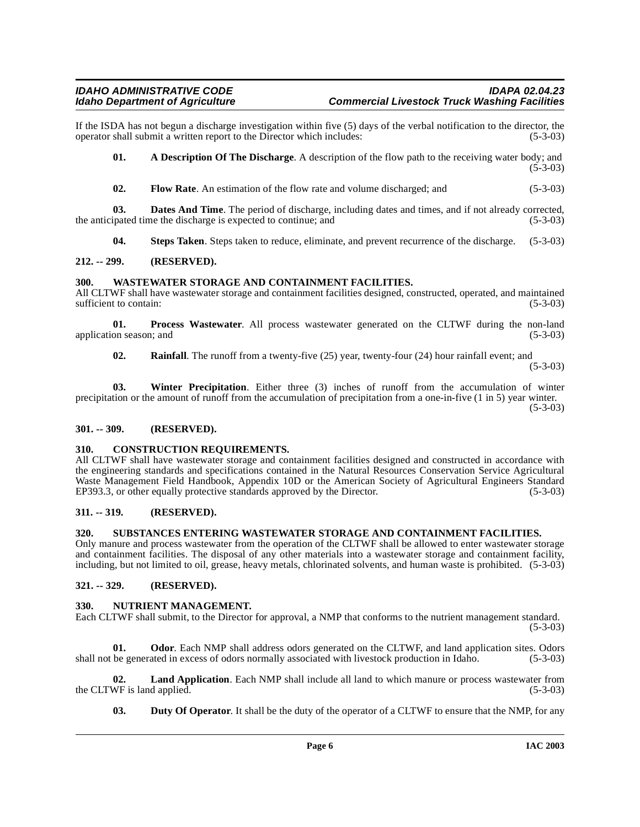If the ISDA has not begun a discharge investigation within five (5) days of the verbal notification to the director, the operator shall submit a written report to the Director which includes: (5-3-03) operator shall submit a written report to the Director which includes:

<span id="page-5-9"></span>**01. A Description Of The Discharge**. A description of the flow path to the receiving water body; and (5-3-03)

**02.** Flow Rate. An estimation of the flow rate and volume discharged; and (5-3-03)

**03. Dates And Time**. The period of discharge, including dates and times, and if not already corrected, the anticipated time the discharge is expected to continue; and  $(5-3-03)$ 

<span id="page-5-12"></span>**04. Steps Taken**. Steps taken to reduce, eliminate, and prevent recurrence of the discharge. (5-3-03)

#### <span id="page-5-0"></span>**212. -- 299. (RESERVED).**

### <span id="page-5-1"></span>**300. WASTEWATER STORAGE AND CONTAINMENT FACILITIES.**

All CLTWF shall have wastewater storage and containment facilities designed, constructed, operated, and maintained sufficient to contain: (5-3-03) sufficient to contain:

**01. Process Wastewater**. All process wastewater generated on the CLTWF during the non-land application season; and (5-3-03) (5-3-03)

**02. Rainfall**. The runoff from a twenty-five (25) year, twenty-four (24) hour rainfall event; and

(5-3-03)

**03. Winter Precipitation**. Either three (3) inches of runoff from the accumulation of winter precipitation or the amount of runoff from the accumulation of precipitation from a one-in-five (1 in 5) year winter. (5-3-03)

#### <span id="page-5-2"></span>**301. -- 309. (RESERVED).**

#### <span id="page-5-8"></span><span id="page-5-3"></span>**310. CONSTRUCTION REQUIREMENTS.**

All CLTWF shall have wastewater storage and containment facilities designed and constructed in accordance with the engineering standards and specifications contained in the Natural Resources Conservation Service Agricultural Waste Management Field Handbook, Appendix 10D or the American Society of Agricultural Engineers Standard EP393.3, or other equally protective standards approved by the Director. (5-3-03) EP393.3, or other equally protective standards approved by the Director.

#### <span id="page-5-4"></span>**311. -- 319. (RESERVED).**

# <span id="page-5-11"></span><span id="page-5-5"></span>**320. SUBSTANCES ENTERING WASTEWATER STORAGE AND CONTAINMENT FACILITIES.**

Only manure and process wastewater from the operation of the CLTWF shall be allowed to enter wastewater storage and containment facilities. The disposal of any other materials into a wastewater storage and containment facility, including, but not limited to oil, grease, heavy metals, chlorinated solvents, and human waste is prohibited. (5-3-03)

# <span id="page-5-6"></span>**321. -- 329. (RESERVED).**

#### <span id="page-5-10"></span><span id="page-5-7"></span>**330. NUTRIENT MANAGEMENT.**

Each CLTWF shall submit, to the Director for approval, a NMP that conforms to the nutrient management standard. (5-3-03)

**01. Odor**. Each NMP shall address odors generated on the CLTWF, and land application sites. Odors shall not be generated in excess of odors normally associated with livestock production in Idaho. (5-3-03)

**02.** Land Application. Each NMP shall include all land to which manure or process wastewater from WF is land applied. (5-3-03) the CLTWF is land applied.

**03. Duty Of Operator**. It shall be the duty of the operator of a CLTWF to ensure that the NMP, for any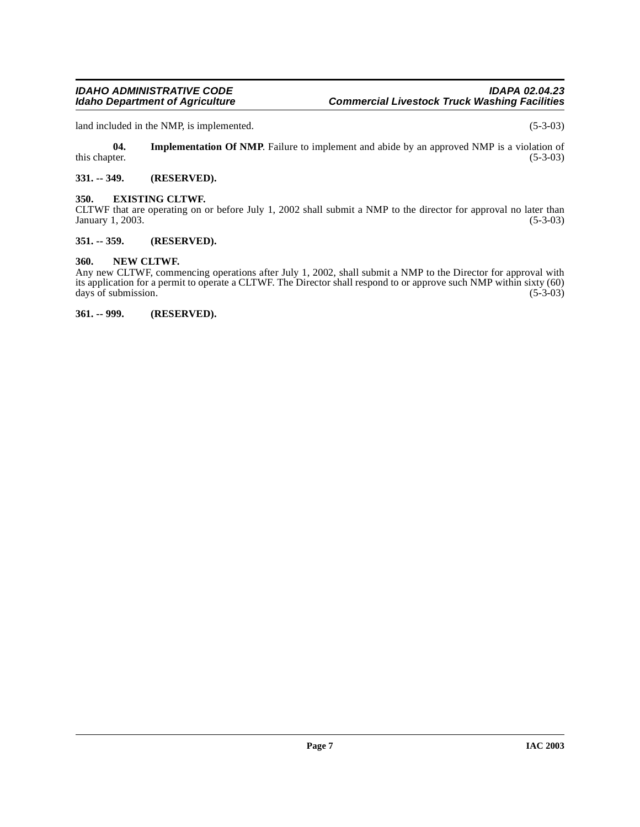land included in the NMP, is implemented. (5-3-03)

**04.** Implementation Of NMP. Failure to implement and abide by an approved NMP is a violation of this chapter. (5-3-03) this chapter.  $(5-3-03)$ 

# <span id="page-6-0"></span>**331. -- 349. (RESERVED).**

# <span id="page-6-1"></span>**350. EXISTING CLTWF.**

CLTWF that are operating on or before July 1, 2002 shall submit a NMP to the director for approval no later than January 1, 2003. (5-3-03) (5-3-03)

### <span id="page-6-2"></span>**351. -- 359. (RESERVED).**

#### <span id="page-6-3"></span>**360. NEW CLTWF.**

Any new CLTWF, commencing operations after July 1, 2002, shall submit a NMP to the Director for approval with its application for a permit to operate a CLTWF. The Director shall respond to or approve such NMP within sixty (60) days of submission. (5-3-03) days of submission.

<span id="page-6-4"></span>**361. -- 999. (RESERVED).**